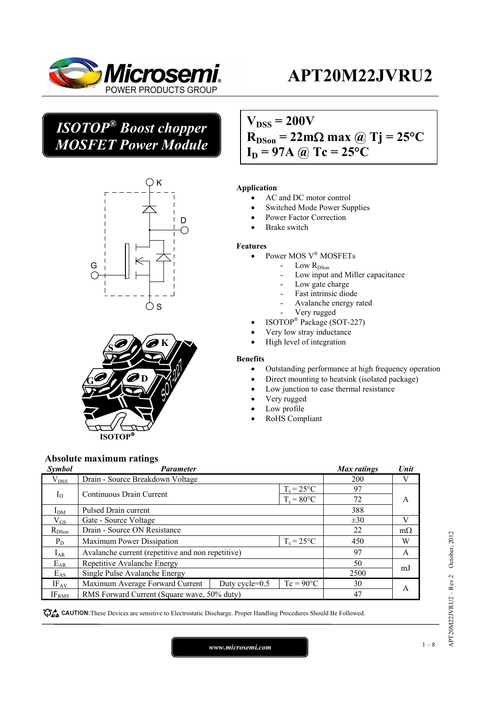

## *ISOTOP® Boost chopper MOSFET Power Module*





## $V_{DSS} = 200V$  $R_{DSon} = 22m\Omega$  max @ Tj = 25<sup>o</sup>C  $I_D = 97A$  @ Tc = 25°C

#### **Application**

- AC and DC motor control
- Switched Mode Power Supplies
- Power Factor Correction
- Brake switch

#### **Features**

- Power MOS V® MOSFETs
	- Low R<sub>DSon</sub>
		- Low input and Miller capacitance
	- Low gate charge
	- Fast intrinsic diode
	- Avalanche energy rated
	- Very rugged
- ISOTOP® Package (SOT-227)
- Very low stray inductance
- High level of integration

#### **Benefits**

- Outstanding performance at high frequency operation
- Direct mounting to heatsink (isolated package)
- Low junction to case thermal resistance
- Very rugged
- Low profile
- RoHS Compliant

### **Absolute maximum ratings**

| Symbol          | <b>Parameter</b>                                                    |                   |                     | <b>Max</b> ratings | Unit      |
|-----------------|---------------------------------------------------------------------|-------------------|---------------------|--------------------|-----------|
| $V_{DSS}$       | Drain - Source Breakdown Voltage                                    |                   |                     | 200                |           |
|                 | $T_c = 25$ °C<br>$I_D$<br>Continuous Drain Current<br>$T_c = 80$ °C |                   | 97                  |                    |           |
|                 |                                                                     |                   |                     | 72                 | A         |
| I <sub>DM</sub> | Pulsed Drain current                                                |                   |                     | 388                |           |
| $\rm V_{GS}$    | Gate - Source Voltage                                               |                   |                     | $\pm 30$           | V         |
| $R_{DSon}$      | Drain - Source ON Resistance                                        |                   |                     | 22                 | $m\Omega$ |
| $P_D$           | $T_c = 25^{\circ}C$<br>Maximum Power Dissipation                    |                   |                     | 450                | W         |
| $I_{AR}$        | Avalanche current (repetitive and non repetitive)                   |                   |                     | 97                 | A         |
| $E_{AR}$        | Repetitive Avalanche Energy                                         |                   |                     | 50                 | mJ        |
| $E_{AS}$        | Single Pulse Avalanche Energy                                       |                   |                     | 2500               |           |
| $IF_{AV}$       | Maximum Average Forward Current                                     | Duty cycle= $0.5$ | $T_c = 90^{\circ}C$ | 30                 | A         |
| <b>IFRMS</b>    | RMS Forward Current (Square wave, 50% duty)                         |                   |                     | 47                 |           |

These Devices are sensitive to Electrostatic Discharge. Proper Handling Procedures Should Be Followed.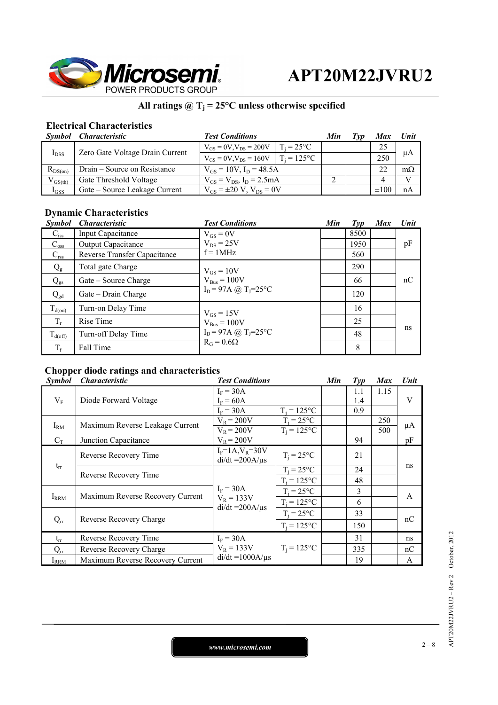

### All ratings  $@T_j = 25°C$  unless otherwise specified

### **Electrical Characteristics**

|              | Symbol Characteristic           | <b>Test Conditions</b>                          |                     | Min | ľvv | <b>Max</b> | Unit      |
|--------------|---------------------------------|-------------------------------------------------|---------------------|-----|-----|------------|-----------|
| $I_{DSS}$    | Zero Gate Voltage Drain Current | $V_{GS} = 0V$ , $V_{DS} = 200V$                 | $T_i = 25^{\circ}C$ |     |     | 25         | μA        |
|              |                                 | $V_{GS} = 0V$ , $V_{DS} = 160V$   $T_i = 125°C$ |                     |     |     | 250        |           |
| $R_{DS(on)}$ | Drain – Source on Resistance    | $V_{GS} = 10V$ , $I_D = 48.5A$                  |                     |     |     | 22         | $m\Omega$ |
| $V_{GS(th)}$ | Gate Threshold Voltage          | $V_{GS} = V_{DS}$ , $I_D = 2.5 mA$              |                     |     |     |            | V         |
| $I_{GSS}$    | Gate – Source Leakage Current   | $V_{GS} = \pm 20 V$ , $V_{DS} = 0V$             |                     |     |     | $\pm 100$  | nA        |

### **Dynamic Characteristics**

| <b>Symbol</b>       | <b>Characteristic</b>        | <b>Test Conditions</b>                                                        | Min | $\mathcal{I}yp$ | <b>Max</b> | Unit |
|---------------------|------------------------------|-------------------------------------------------------------------------------|-----|-----------------|------------|------|
| $C_{iss}$           | <b>Input Capacitance</b>     | $V_{GS} = 0V$                                                                 |     | 8500            |            |      |
| $C_{\rm oss}$       | <b>Output Capacitance</b>    | $V_{DS}$ = 25V<br>$f = 1MHz$                                                  |     | 1950            |            | pF   |
| $C_{\rm rss}$       | Reverse Transfer Capacitance |                                                                               |     | 560             |            |      |
| $Q_{g}$             | Total gate Charge            | $V_{GS} = 10V$                                                                |     | 290             |            |      |
| $Q_{gs}$            | Gate – Source Charge         | $V_{\text{Bus}} = 100V$<br>$I_D = 97A$ (a) $T_J = 25^{\circ}C$                |     | 66              |            | nC   |
| $Q_{gd}$            | Gate – Drain Charge          |                                                                               |     | 120             |            |      |
| $T_{d(0n)}$         | Turn-on Delay Time           | $V_{GS} = 15V$                                                                |     | 16              |            |      |
| $T_r$               | Rise Time                    | $V_{\text{Bus}} = 100V$<br>$I_D = 97A$ (a) $T_J = 25$ °C<br>$R_G = 0.6\Omega$ |     | 25              |            |      |
| $T_{\text{d(off)}}$ | Turn-off Delay Time          |                                                                               |     | 48              |            | ns   |
| $T_f$               | Fall Time                    |                                                                               |     | 8               |            |      |

### **Chopper diode ratings and characteristics**

| <b>Symbol</b> | <i><b>Characteristic</b></i>     | <b>Test Conditions</b>                               |                | Min | $\mathcal{I}yp$ | <b>Max</b> | Unit           |
|---------------|----------------------------------|------------------------------------------------------|----------------|-----|-----------------|------------|----------------|
| $V_{F}$       | Diode Forward Voltage            | $I_F = 30A$                                          |                |     | 1.1             | 1.15       |                |
|               |                                  | $I_F = 60A$                                          |                |     | 1.4             |            | V              |
|               |                                  | $I_F = 30A$                                          | $T_i = 125$ °C |     | 0.9             |            |                |
| $I_{RM}$      | Maximum Reverse Leakage Current  | $V_R = 200V$                                         | $T_i = 25$ °C  |     |                 | 250        |                |
|               |                                  | $V_R = 200V$                                         | $T_i = 125$ °C |     |                 | 500        | $\mu$ A        |
| $C_T$         | Junction Capacitance             | $V_R = 200V$                                         |                |     | 94              |            | pF             |
|               | Reverse Recovery Time            | $I_F = 1A, V_R = 30V$<br>$di/dt = 200A/\mu s$        | $T_i = 25$ °C  |     | 21              |            | ns             |
| $\rm t_{rr}$  | Reverse Recovery Time            | $I_F = 30A$<br>$V_R = 133V$<br>$di/dt = 200A/\mu s$  | $T_i = 25$ °C  |     | 24              |            |                |
|               |                                  |                                                      | $T_i = 125$ °C |     | 48              |            |                |
| $I_{RRM}$     | Maximum Reverse Recovery Current |                                                      | $T_i = 25$ °C  |     | 3               |            | $\overline{A}$ |
|               |                                  |                                                      | $T_i = 125$ °C |     | 6               |            |                |
| $Q_{rr}$      | Reverse Recovery Charge          |                                                      | $T_i = 25$ °C  |     | 33              |            | nC             |
|               |                                  |                                                      | $T_i = 125$ °C |     | 150             |            |                |
| $t_{rr}$      | Reverse Recovery Time            | $I_F = 30A$<br>$V_R = 133V$<br>$di/dt = 1000A/\mu s$ |                |     | 31              |            | ns             |
| $Q_{rr}$      | Reverse Recovery Charge          |                                                      | $T_i = 125$ °C |     | 335             |            | nC             |
| $I_{RRM}$     | Maximum Reverse Recovery Current |                                                      |                |     | 19              |            | A              |

*www.microsemi.com* 2-8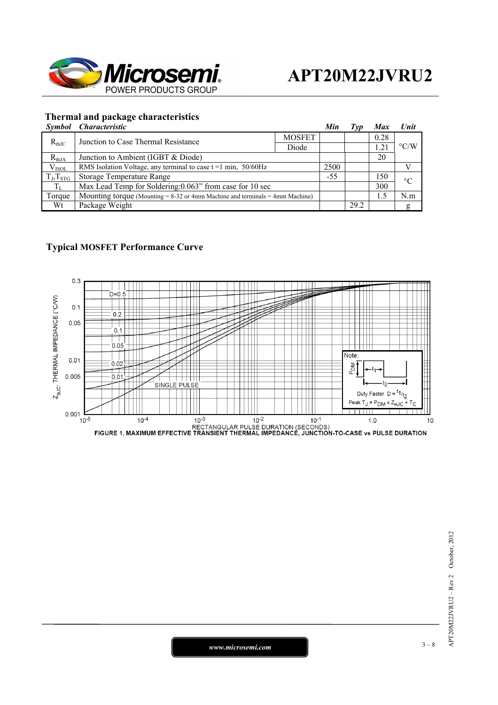

#### **Thermal and package characteristics**

| Symbol | <i>Characteristic</i> |  |
|--------|-----------------------|--|

|                                                   | Symbol Characteristic                                                             |               | Min   | Typ  | <b>Max</b> | Unit               |  |
|---------------------------------------------------|-----------------------------------------------------------------------------------|---------------|-------|------|------------|--------------------|--|
| $R_{thJC}$<br>Junction to Case Thermal Resistance |                                                                                   | <b>MOSFET</b> |       |      | 0.28       |                    |  |
|                                                   |                                                                                   | Diode         |       |      |            | $\rm ^{\circ}$ C/W |  |
| $R_{thJA}$                                        | Junction to Ambient (IGBT & Diode)                                                |               |       |      | 20         |                    |  |
| V <sub>ISOL</sub>                                 | RMS Isolation Voltage, any terminal to case $t = 1$ min, 50/60Hz                  |               | 2500  |      |            |                    |  |
| $T_J, T_{STG}$                                    | Storage Temperature Range                                                         |               | $-55$ |      | 150        | $\rm ^{\circ}C$    |  |
| $T_{L}$                                           | Max Lead Temp for Soldering: 0.063" from case for 10 sec                          |               |       |      | 300        |                    |  |
| Torque                                            | Mounting torque (Mounting $= 8-32$ or 4mm Machine and terminals $= 4$ mm Machine) |               |       |      | 1.5        | N.m                |  |
| Wt                                                | Package Weight                                                                    |               |       | 29.2 |            | Զ                  |  |

#### **Typical MOSFET Performance Curve**

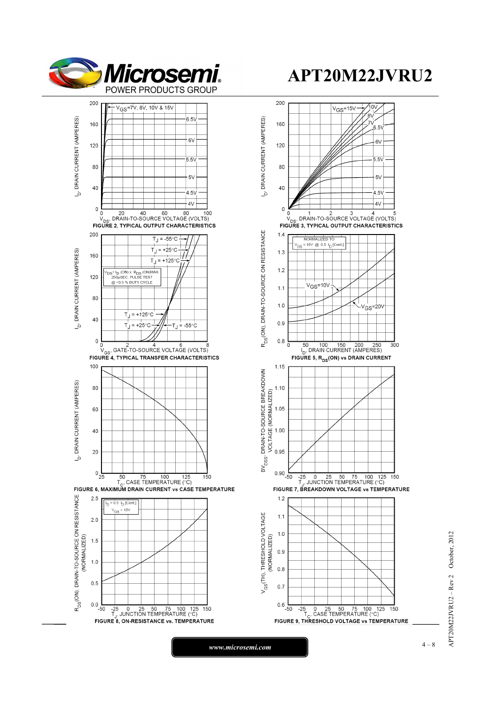



*www.microsemi.com* **1** – 8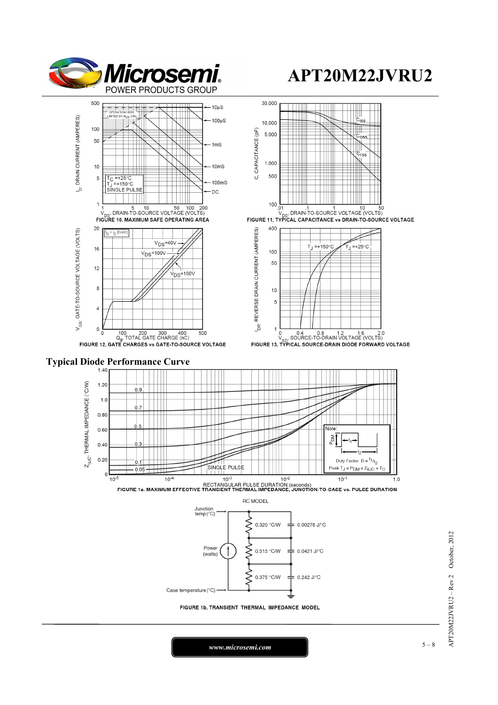





## **Typical Diode Performance Curve**







 $APT20M22JVRU2 - Rev 2 October, 2012$ APT20M22JVRU2 – Rev 2 October, 2012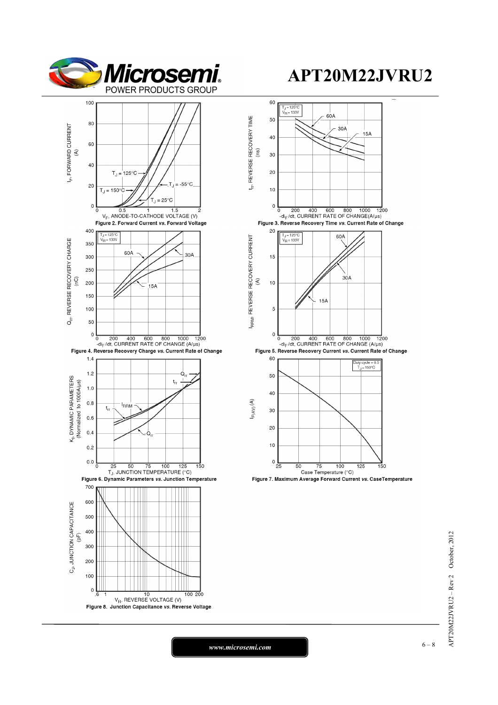





*www.microsemi.com* **6-8**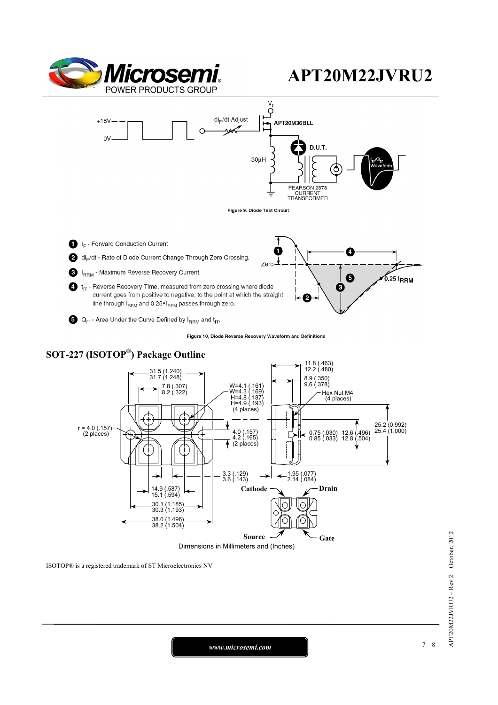



- current goes from positive to negative, to the point at which the straight line through IRRM and 0.25• IRRM passes through zero.
- $\bigodot$  Q<sub>rr</sub> Area Under the Curve Defined by I<sub>RRM</sub> and t<sub>rr</sub>.

Figure 10, Diode Reverse Recovery Waveform and Definitions

2